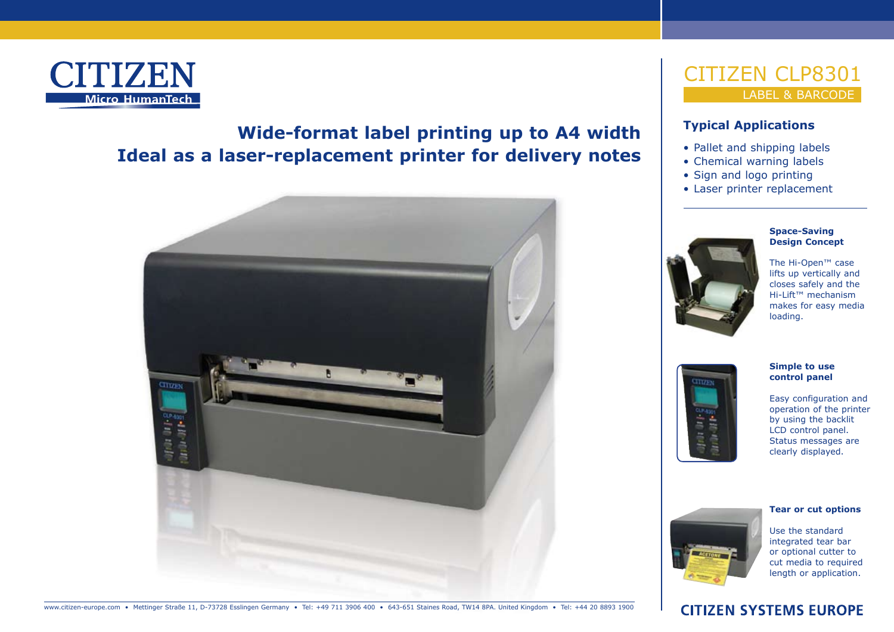

# **Wide-format label printing up to A4 width Ideal as a laser-replacement printer for delivery notes**



### **Typical Applications**

- Pallet and shipping labels
- Chemical warning labels
- Sign and logo printing
- Laser printer replacement



#### **Space-Saving Design Concept**

The Hi-Open™ case lifts up vertically and closes safely and the Hi-Lift™ mechanism makes for easy media loading.



#### **Simple to use control panel**

Easy configuration and operation of the printer by using the backlit LCD control panel. Status messages are clearly displayed.

# **Tear or cut options**

Use the standard integrated tear bar or optional cutter to cut media to required length or application.

## **CITIZEN SYSTEMS EUROPE**

www.citizen-europe.com • Mettinger Straße 11, D-73728 Esslingen Germany • Tel: +49 711 3906 400 • 643-651 Staines Road, TW14 8PA. United Kingdom • Tel: +44 20 8893 1900